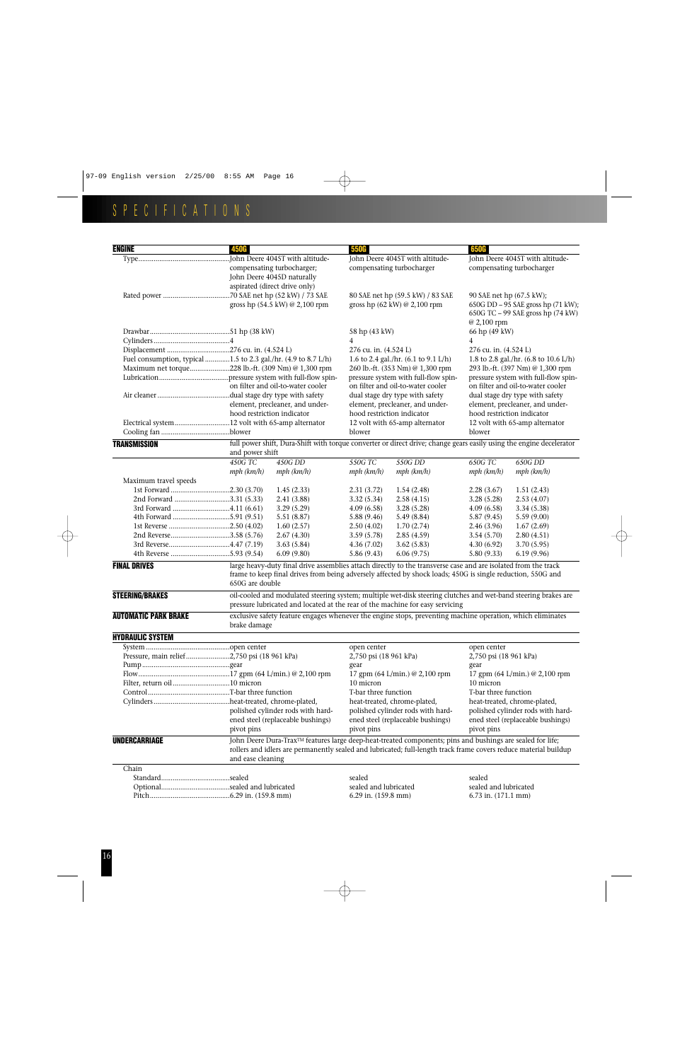## SPECIFICATIONS

| <b>ENGINE</b>                                                  | <b>450G</b>                                                                                        |                                                                                                                                                                                                                               | <b>550G</b>                |                                                                                                                                                                                                                               | <b>650G</b>                                                                                                        |                                                                          |  |  |  |  |
|----------------------------------------------------------------|----------------------------------------------------------------------------------------------------|-------------------------------------------------------------------------------------------------------------------------------------------------------------------------------------------------------------------------------|----------------------------|-------------------------------------------------------------------------------------------------------------------------------------------------------------------------------------------------------------------------------|--------------------------------------------------------------------------------------------------------------------|--------------------------------------------------------------------------|--|--|--|--|
|                                                                | John Deere 4045T with altitude-<br>compensating turbocharger;<br>John Deere 4045D naturally        |                                                                                                                                                                                                                               |                            | John Deere 4045T with altitude-<br>compensating turbocharger                                                                                                                                                                  |                                                                                                                    | John Deere 4045T with altitude-<br>compensating turbocharger             |  |  |  |  |
|                                                                | aspirated (direct drive only)<br>.70 SAE net hp (52 kW) / 73 SAE<br>gross hp (54.5 kW) @ 2,100 rpm |                                                                                                                                                                                                                               |                            | 80 SAE net hp (59.5 kW) / 83 SAE<br>gross hp (62 kW) @ 2,100 rpm                                                                                                                                                              | 90 SAE net hp (67.5 kW);<br>650G DD - 95 SAE gross hp (71 kW);<br>650G TC - 99 SAE gross hp (74 kW)<br>@ 2,100 rpm |                                                                          |  |  |  |  |
|                                                                |                                                                                                    |                                                                                                                                                                                                                               | 58 hp (43 kW)              |                                                                                                                                                                                                                               | 66 hp (49 kW)                                                                                                      |                                                                          |  |  |  |  |
|                                                                |                                                                                                    |                                                                                                                                                                                                                               | 4                          |                                                                                                                                                                                                                               | 4                                                                                                                  |                                                                          |  |  |  |  |
|                                                                |                                                                                                    |                                                                                                                                                                                                                               | 276 cu. in. (4.524 L)      |                                                                                                                                                                                                                               |                                                                                                                    | 276 cu. in. (4.524 L)<br>1.8 to 2.8 gal./hr. (6.8 to 10.6 L/h)           |  |  |  |  |
| Fuel consumption, typical 1.5 to 2.3 gal./hr. (4.9 to 8.7 L/h) |                                                                                                    |                                                                                                                                                                                                                               |                            | 1.6 to 2.4 gal./hr. $(6.1 \text{ to } 9.1 \text{ L/h})$                                                                                                                                                                       |                                                                                                                    |                                                                          |  |  |  |  |
| Maximum net torque228 lb.-ft. (309 Nm) @ 1,300 rpm             |                                                                                                    |                                                                                                                                                                                                                               |                            | 260 lb.-ft. (353 Nm) @ 1,300 rpm                                                                                                                                                                                              |                                                                                                                    | 293 lb.-ft. (397 Nm) @ 1,300 rpm<br>pressure system with full-flow spin- |  |  |  |  |
|                                                                | on filter and oil-to-water cooler                                                                  |                                                                                                                                                                                                                               |                            | pressure system with full-flow spin-<br>on filter and oil-to-water cooler                                                                                                                                                     |                                                                                                                    |                                                                          |  |  |  |  |
|                                                                |                                                                                                    |                                                                                                                                                                                                                               |                            |                                                                                                                                                                                                                               | on filter and oil-to-water cooler                                                                                  |                                                                          |  |  |  |  |
|                                                                | .dual stage dry type with safety<br>element, precleaner, and under-                                |                                                                                                                                                                                                                               |                            | dual stage dry type with safety<br>element, precleaner, and under-                                                                                                                                                            |                                                                                                                    | dual stage dry type with safety<br>element, precleaner, and under-       |  |  |  |  |
|                                                                | hood restriction indicator                                                                         |                                                                                                                                                                                                                               | hood restriction indicator |                                                                                                                                                                                                                               |                                                                                                                    | hood restriction indicator                                               |  |  |  |  |
| Electrical system12 volt with 65-amp alternator                |                                                                                                    |                                                                                                                                                                                                                               |                            | 12 volt with 65-amp alternator                                                                                                                                                                                                | 12 volt with 65-amp alternator                                                                                     |                                                                          |  |  |  |  |
|                                                                |                                                                                                    |                                                                                                                                                                                                                               | blower                     |                                                                                                                                                                                                                               | blower                                                                                                             |                                                                          |  |  |  |  |
| <b>TRANSMISSION</b>                                            |                                                                                                    |                                                                                                                                                                                                                               |                            |                                                                                                                                                                                                                               |                                                                                                                    |                                                                          |  |  |  |  |
|                                                                | and power shift                                                                                    | full power shift, Dura-Shift with torque converter or direct drive; change gears easily using the engine decelerator                                                                                                          |                            |                                                                                                                                                                                                                               |                                                                                                                    |                                                                          |  |  |  |  |
|                                                                | 450G DD<br>450G TC                                                                                 |                                                                                                                                                                                                                               | 550G TC                    | 550G DD                                                                                                                                                                                                                       | 650G TC                                                                                                            | 650G DD                                                                  |  |  |  |  |
|                                                                | mph (km/h)                                                                                         | mph (km/h)                                                                                                                                                                                                                    | mph (km/h)                 | mph (km/h)                                                                                                                                                                                                                    | mph (km/h)                                                                                                         | mph (km/h)                                                               |  |  |  |  |
| Maximum travel speeds                                          |                                                                                                    |                                                                                                                                                                                                                               |                            |                                                                                                                                                                                                                               |                                                                                                                    |                                                                          |  |  |  |  |
| 1st Forward 2.30 (3.70)                                        | 1.45(2.33)                                                                                         |                                                                                                                                                                                                                               | 2.31(3.72)                 | 1.54(2.48)                                                                                                                                                                                                                    | 2.28(3.67)                                                                                                         | 1.51(2.43)                                                               |  |  |  |  |
| 2nd Forward 3.31 (5.33)                                        | 2.41(3.88)                                                                                         |                                                                                                                                                                                                                               | 3.32(5.34)                 | 2.58(4.15)                                                                                                                                                                                                                    | 3.28(5.28)                                                                                                         | 2.53(4.07)                                                               |  |  |  |  |
|                                                                | 3.29(5.29)                                                                                         |                                                                                                                                                                                                                               | 4.09(6.58)                 | 3.28(5.28)                                                                                                                                                                                                                    | 4.09(6.58)                                                                                                         | 3.34(5.38)                                                               |  |  |  |  |
|                                                                |                                                                                                    | 5.51(8.87)                                                                                                                                                                                                                    | 5.88(9.46)                 | 5.49(8.84)                                                                                                                                                                                                                    | 5.87(9.45)                                                                                                         | 5.59(9.00)                                                               |  |  |  |  |
|                                                                | 1.60(2.57)                                                                                         |                                                                                                                                                                                                                               | 2.50(4.02)                 | 1.70(2.74)                                                                                                                                                                                                                    | 2.46(3.96)                                                                                                         | 1.67(2.69)                                                               |  |  |  |  |
| 2nd Reverse3.58 (5.76)                                         | 2.67(4.30)                                                                                         |                                                                                                                                                                                                                               | 3.59(5.78)                 | 2.85(4.59)                                                                                                                                                                                                                    | 3.54(5.70)                                                                                                         | 2.80(4.51)                                                               |  |  |  |  |
|                                                                | 3.63(5.84)                                                                                         |                                                                                                                                                                                                                               | 4.36(7.02)                 | 3.62(5.83)                                                                                                                                                                                                                    | 4.30(6.92)                                                                                                         | 3.70(5.95)                                                               |  |  |  |  |
|                                                                | 6.09(9.80)                                                                                         |                                                                                                                                                                                                                               | 5.86(9.43)                 | 6.06(9.75)                                                                                                                                                                                                                    | 5.80(9.33)                                                                                                         | 6.19(9.96)                                                               |  |  |  |  |
| <b>FINAL DRIVES</b>                                            | 650G are double                                                                                    |                                                                                                                                                                                                                               |                            | large heavy-duty final drive assemblies attach directly to the transverse case and are isolated from the track<br>frame to keep final drives from being adversely affected by shock loads; 450G is single reduction, 550G and |                                                                                                                    |                                                                          |  |  |  |  |
| <b>STEERING/BRAKES</b>                                         |                                                                                                    | oil-cooled and modulated steering system; multiple wet-disk steering clutches and wet-band steering brakes are<br>pressure lubricated and located at the rear of the machine for easy servicing                               |                            |                                                                                                                                                                                                                               |                                                                                                                    |                                                                          |  |  |  |  |
| <b>AUTOMATIC PARK BRAKE</b>                                    | brake damage                                                                                       | exclusive safety feature engages whenever the engine stops, preventing machine operation, which eliminates                                                                                                                    |                            |                                                                                                                                                                                                                               |                                                                                                                    |                                                                          |  |  |  |  |
| <b>HYDRAULIC SYSTEM</b>                                        |                                                                                                    |                                                                                                                                                                                                                               |                            |                                                                                                                                                                                                                               |                                                                                                                    |                                                                          |  |  |  |  |
|                                                                |                                                                                                    |                                                                                                                                                                                                                               |                            |                                                                                                                                                                                                                               | open center                                                                                                        |                                                                          |  |  |  |  |
| Pressure, main relief 2,750 psi (18 961 kPa)                   |                                                                                                    |                                                                                                                                                                                                                               |                            | 2,750 psi (18 961 kPa)                                                                                                                                                                                                        | 2,750 psi (18 961 kPa)                                                                                             |                                                                          |  |  |  |  |
|                                                                |                                                                                                    |                                                                                                                                                                                                                               |                            |                                                                                                                                                                                                                               | gear                                                                                                               |                                                                          |  |  |  |  |
|                                                                |                                                                                                    |                                                                                                                                                                                                                               |                            | 17 gpm (64 L/min.) @ 2,100 rpm                                                                                                                                                                                                | 17 gpm (64 L/min.) @ 2,100 rpm                                                                                     |                                                                          |  |  |  |  |
|                                                                |                                                                                                    |                                                                                                                                                                                                                               |                            |                                                                                                                                                                                                                               | 10 micron                                                                                                          |                                                                          |  |  |  |  |
|                                                                |                                                                                                    |                                                                                                                                                                                                                               |                            | T-bar three function                                                                                                                                                                                                          | T-bar three function                                                                                               |                                                                          |  |  |  |  |
|                                                                |                                                                                                    |                                                                                                                                                                                                                               |                            | heat-treated, chrome-plated,                                                                                                                                                                                                  |                                                                                                                    | heat-treated, chrome-plated,                                             |  |  |  |  |
|                                                                | polished cylinder rods with hard-                                                                  |                                                                                                                                                                                                                               |                            | polished cylinder rods with hard-                                                                                                                                                                                             |                                                                                                                    | polished cylinder rods with hard-                                        |  |  |  |  |
|                                                                | ened steel (replaceable bushings)                                                                  |                                                                                                                                                                                                                               |                            | ened steel (replaceable bushings)                                                                                                                                                                                             |                                                                                                                    | ened steel (replaceable bushings)                                        |  |  |  |  |
|                                                                |                                                                                                    | pivot pins<br>pivot pins<br>pivot pins                                                                                                                                                                                        |                            |                                                                                                                                                                                                                               |                                                                                                                    |                                                                          |  |  |  |  |
| UNDERCARRIAGE                                                  | and ease cleaning                                                                                  | John Deere Dura-Trax™ features large deep-heat-treated components; pins and bushings are sealed for life;<br>rollers and idlers are permanently sealed and lubricated; full-length track frame covers reduce material buildup |                            |                                                                                                                                                                                                                               |                                                                                                                    |                                                                          |  |  |  |  |
| Chain                                                          |                                                                                                    |                                                                                                                                                                                                                               |                            |                                                                                                                                                                                                                               |                                                                                                                    |                                                                          |  |  |  |  |
|                                                                |                                                                                                    |                                                                                                                                                                                                                               | sealed                     |                                                                                                                                                                                                                               | sealed                                                                                                             |                                                                          |  |  |  |  |
|                                                                |                                                                                                    |                                                                                                                                                                                                                               | sealed and lubricated      |                                                                                                                                                                                                                               | sealed and lubricated                                                                                              |                                                                          |  |  |  |  |
|                                                                |                                                                                                    |                                                                                                                                                                                                                               | 6.29 in. (159.8 mm)        |                                                                                                                                                                                                                               | $6.73$ in. $(171.1$ mm)                                                                                            |                                                                          |  |  |  |  |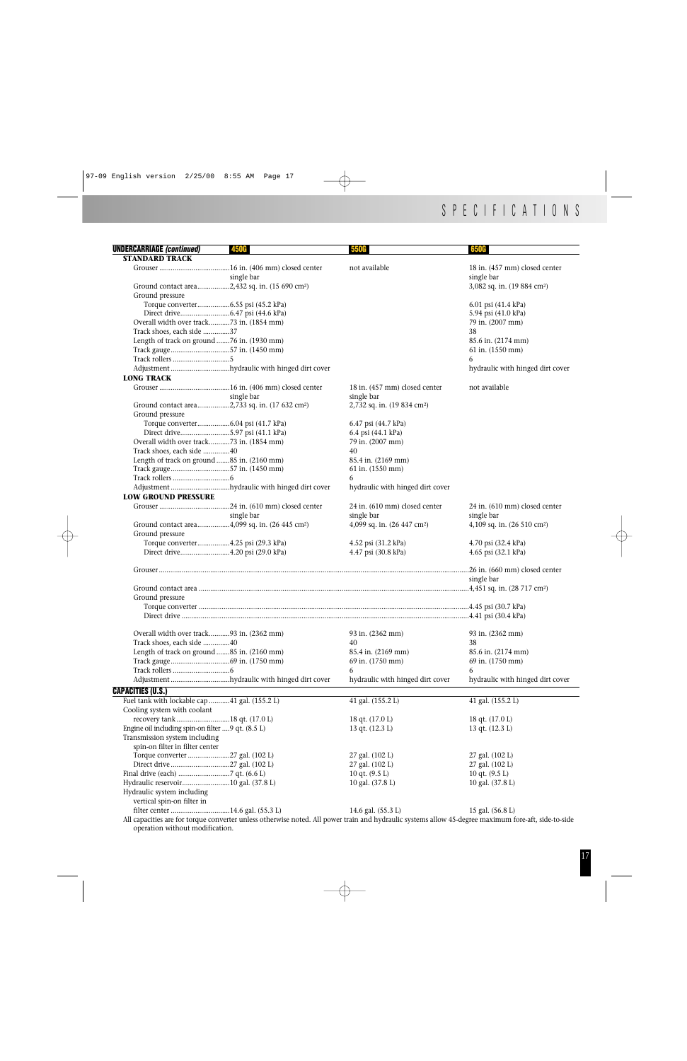| <b>UNDERCARRIAGE (continued)</b><br><b>STANDARD TRACK</b>  | <b>450G</b>                                 | <b>550G</b>                                                                                                                                          | 650G                                    |
|------------------------------------------------------------|---------------------------------------------|------------------------------------------------------------------------------------------------------------------------------------------------------|-----------------------------------------|
|                                                            |                                             | not available                                                                                                                                        | 18 in. (457 mm) closed center           |
|                                                            | single bar                                  |                                                                                                                                                      | single bar                              |
| Ground contact area2,432 sq. in. (15 690 cm <sup>2</sup> ) |                                             |                                                                                                                                                      | 3,082 sq. in. (19 884 cm <sup>2</sup> ) |
| Ground pressure                                            |                                             |                                                                                                                                                      |                                         |
| Torque converter6.55 psi (45.2 kPa)                        |                                             |                                                                                                                                                      | 6.01 psi (41.4 kPa)                     |
|                                                            |                                             |                                                                                                                                                      | 5.94 psi (41.0 kPa)                     |
| Overall width over track73 in. (1854 mm)                   |                                             |                                                                                                                                                      | 79 in. (2007 mm)                        |
| Track shoes, each side 37                                  |                                             |                                                                                                                                                      | 38                                      |
| Length of track on ground 76 in. (1930 mm)                 |                                             |                                                                                                                                                      | 85.6 in. (2174 mm)                      |
|                                                            |                                             |                                                                                                                                                      | 61 in. (1550 mm)                        |
| Track gauge57 in. (1450 mm)                                |                                             |                                                                                                                                                      |                                         |
|                                                            |                                             |                                                                                                                                                      | 6                                       |
|                                                            | Adjustment hydraulic with hinged dirt cover |                                                                                                                                                      | hydraulic with hinged dirt cover        |
| <b>LONG TRACK</b>                                          |                                             |                                                                                                                                                      |                                         |
|                                                            |                                             | 18 in. (457 mm) closed center                                                                                                                        | not available                           |
|                                                            | single bar                                  | single bar                                                                                                                                           |                                         |
| Ground contact area2,733 sq. in. (17 632 cm <sup>2</sup> ) |                                             | 2,732 sq. in. (19 834 cm <sup>2</sup> )                                                                                                              |                                         |
| Ground pressure                                            |                                             |                                                                                                                                                      |                                         |
| Torque converter6.04 psi (41.7 kPa)                        |                                             | 6.47 psi (44.7 kPa)                                                                                                                                  |                                         |
| Direct drive5.97 psi (41.1 kPa)                            |                                             | 6.4 psi (44.1 kPa)                                                                                                                                   |                                         |
| Overall width over track73 in. (1854 mm)                   |                                             | 79 in. (2007 mm)                                                                                                                                     |                                         |
| Track shoes, each side 40                                  |                                             | 40                                                                                                                                                   |                                         |
| Length of track on ground 85 in. (2160 mm)                 |                                             | 85.4 in. (2169 mm)                                                                                                                                   |                                         |
| Track gauge57 in. (1450 mm)                                |                                             | 61 in. (1550 mm)                                                                                                                                     |                                         |
| ${\bf Track} \ {\bf rollers} \ 6$                          |                                             | 6                                                                                                                                                    |                                         |
|                                                            | Adjustment hydraulic with hinged dirt cover | hydraulic with hinged dirt cover                                                                                                                     |                                         |
| <b>LOW GROUND PRESSURE</b>                                 |                                             |                                                                                                                                                      |                                         |
|                                                            |                                             | 24 in. (610 mm) closed center                                                                                                                        | 24 in. (610 mm) closed center           |
|                                                            |                                             | single bar                                                                                                                                           |                                         |
|                                                            | single bar                                  |                                                                                                                                                      | single bar                              |
| Ground contact area4,099 sq. in. (26 445 cm <sup>2</sup> ) |                                             | 4,099 sq. in. $(26\;447\;cm^2)$                                                                                                                      | 4,109 sq. in. (26 510 cm <sup>2</sup> ) |
| Ground pressure                                            |                                             |                                                                                                                                                      |                                         |
| Torque converter4.25 psi (29.3 kPa)                        |                                             | 4.52 psi (31.2 kPa)                                                                                                                                  | 4.70 psi (32.4 kPa)                     |
| Direct drive4.20 psi (29.0 kPa)                            |                                             | 4.47 psi (30.8 kPa)                                                                                                                                  | 4.65 psi (32.1 kPa)                     |
|                                                            |                                             |                                                                                                                                                      | 26 in. (660 mm) closed center           |
|                                                            |                                             |                                                                                                                                                      | single bar                              |
|                                                            |                                             |                                                                                                                                                      |                                         |
| Ground pressure                                            |                                             |                                                                                                                                                      |                                         |
|                                                            |                                             |                                                                                                                                                      |                                         |
|                                                            |                                             |                                                                                                                                                      |                                         |
|                                                            |                                             |                                                                                                                                                      |                                         |
| Overall width over track93 in. (2362 mm)                   |                                             | 93 in. (2362 mm)                                                                                                                                     | 93 in. (2362 mm)                        |
| Track shoes, each side 40                                  |                                             | 40                                                                                                                                                   | 38                                      |
| Length of track on ground 85 in. (2160 mm)                 |                                             | 85.4 in. (2169 mm)                                                                                                                                   | 85.6 in. (2174 mm)                      |
|                                                            |                                             | 69 in. (1750 mm)                                                                                                                                     | 69 in. (1750 mm)                        |
|                                                            |                                             | 6                                                                                                                                                    | 6                                       |
|                                                            |                                             |                                                                                                                                                      |                                         |
|                                                            | Adjustment hydraulic with hinged dirt cover | hydraulic with hinged dirt cover                                                                                                                     | hydraulic with hinged dirt cover        |
| <b>CAPACITIES (U.S.)</b>                                   |                                             |                                                                                                                                                      |                                         |
| Fuel tank with lockable cap 41 gal. (155.2 L)              |                                             | 41 gal. (155.2 L)                                                                                                                                    | 41 gal. (155.2 L)                       |
| Cooling system with coolant                                |                                             |                                                                                                                                                      |                                         |
| recovery tank 18 qt. (17.0 L)                              |                                             | 18 qt. $(17.0 L)$                                                                                                                                    | 18 qt. $(17.0 L)$                       |
| Engine oil including spin-on filter  9 qt. (8.5 L)         |                                             | 13 qt. $(12.3 L)$                                                                                                                                    | 13 qt. $(12.3 L)$                       |
| Transmission system including                              |                                             |                                                                                                                                                      |                                         |
| spin-on filter in filter center                            |                                             |                                                                                                                                                      |                                         |
| Torque converter 27 gal. (102 L)                           |                                             | 27 gal. (102 L)                                                                                                                                      | 27 gal. (102 L)                         |
| Direct drive 27 gal. (102 L)                               |                                             | 27 gal. (102 L)                                                                                                                                      | 27 gal. (102 L)                         |
|                                                            |                                             | 10 qt. (9.5 L)                                                                                                                                       | 10 qt. $(9.5 L)$                        |
| Hydraulic reservoir10 gal. (37.8 L)                        |                                             | 10 gal. (37.8 L)                                                                                                                                     | 10 gal. (37.8 L)                        |
| Hydraulic system including                                 |                                             |                                                                                                                                                      |                                         |
| vertical spin-on filter in                                 |                                             |                                                                                                                                                      |                                         |
| filter center 14.6 gal. (55.3 L)                           |                                             | 14.6 gal. (55.3 L)                                                                                                                                   | 15 gal. (56.8 L)                        |
|                                                            |                                             | All capacities are for torque converter unless otherwise noted. All power train and hydraulic systems allow 45-degree maximum fore-aft, side-to-side |                                         |

All capacities are for torque converter unless otherwise noted. All power train and hydraulic systems allow 45-degree maximum fore-aft, side-to-side operation without modification.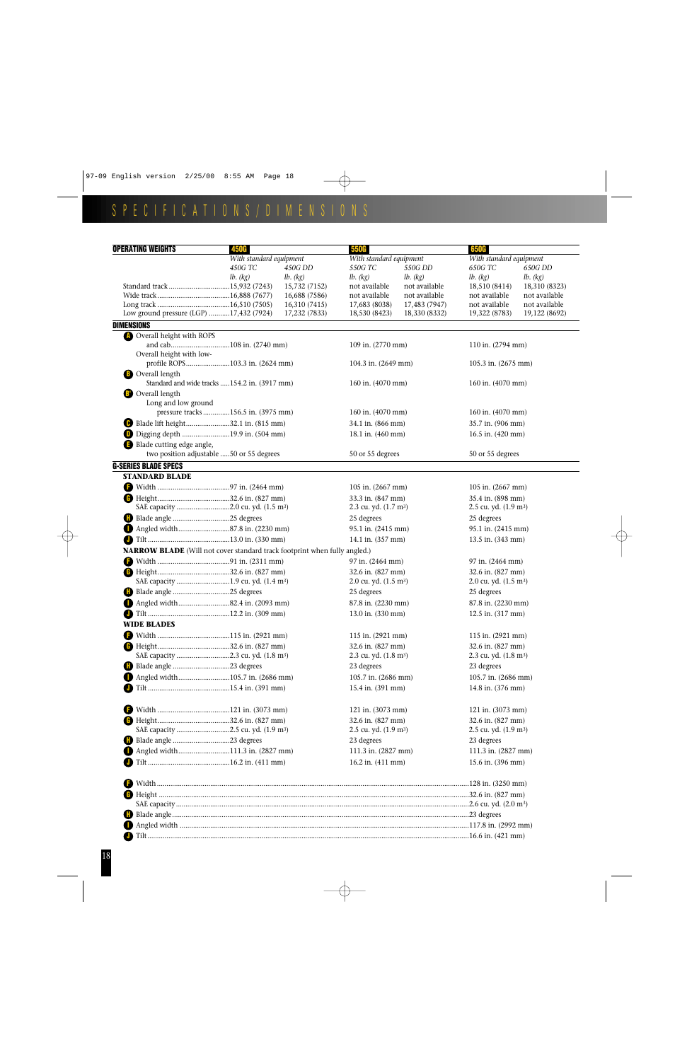## SPECIFICATIONS/DIMENSIONS

| With standard equipment<br>With standard equipment<br>With standard equipment<br>450G TC<br>450G DD<br>550G TC<br>550G DD<br>650G TC<br>650G DD<br>lb. (kg)<br>lb. (kg)<br>lb. (kg)<br>lb. (kg)<br>lb. (kg)<br>lb. (kg)<br>15,732 (7152)<br>not available<br>18,310 (8323)<br>not available<br>18,510 (8414)<br>16,688 (7586)<br>not available<br>not available<br>not available<br>not available<br>16,310 (7415)<br>17,683 (8038)<br>17,483 (7947)<br>not available<br>not available<br>Low ground pressure (LGP) 17,432 (7924)<br>17,232 (7833)<br>18,530 (8423)<br>18,330 (8332)<br>19,322 (8783)<br>19,122 (8692)<br><b>DIMENSIONS</b><br><b>C</b> Overall height with ROPS<br>and cab108 in. (2740 mm)<br>109 in. (2770 mm)<br>110 in. (2794 mm)<br>Overall height with low-<br>profile ROPS103.3 in. (2624 mm)<br>104.3 in. (2649 mm)<br>105.3 in. (2675 mm)<br><b>B</b> Overall length<br>Standard and wide tracks 154.2 in. (3917 mm)<br>160 in. (4070 mm)<br>160 in. (4070 mm)<br><b>B</b> Overall length<br>Long and low ground<br>pressure tracks 156.5 in. (3975 mm)<br>160 in. (4070 mm)<br>160 in. (4070 mm)<br>Blade lift height32.1 in. (815 mm)<br>35.7 in. (906 mm)<br>34.1 in. (866 mm)<br><b>D</b> Digging depth 19.9 in. (504 mm)<br>16.5 in. (420 mm)<br>18.1 in. (460 mm)<br>Blade cutting edge angle,<br>two position adjustable 50 or 55 degrees<br>50 or 55 degrees<br>50 or 55 degrees<br><b>G-SERIES BLADE SPECS</b><br><b>STANDARD BLADE</b><br>105 in. (2667 mm)<br>105 in. (2667 mm)<br>35.4 in. (898 mm)<br>33.3 in. (847 mm)<br>SAE capacity 2.0 cu. yd. (1.5 m <sup>3</sup> )<br>2.3 cu. yd. (1.7 m <sup>3</sup> )<br>2.5 cu. yd. (1.9 m <sup>3</sup> )<br>25 degrees<br>25 degrees<br>Angled width87.8 in. (2230 mm)<br>95.1 in. (2415 mm)<br>95.1 in. (2415 mm)<br>14.1 in. (357 mm)<br>13.5 in. (343 mm)<br><b>NARROW BLADE</b> (Will not cover standard track footprint when fully angled.)<br>97 in. (2464 mm)<br>97 in. (2464 mm)<br>32.6 in. (827 mm)<br>32.6 in. (827 mm)<br>SAE capacity 1.9 cu. yd. (1.4 m <sup>3</sup> )<br>2.0 cu. yd. (1.5 m <sup>3</sup> )<br>2.0 cu. yd. $(1.5 \text{ m}^3)$<br>25 degrees<br>25 degrees<br>Angled width82.4 in. (2093 mm)<br>87.8 in. (2230 mm)<br>87.8 in. (2230 mm)<br>13.0 in. (330 mm)<br>12.5 in. (317 mm)<br>WIDE BLADES<br>115 in. (2921 mm)<br>115 in. (2921 mm)<br>32.6 in. (827 mm)<br>32.6 in. (827 mm)<br>SAE capacity 2.3 cu. yd. (1.8 m <sup>3</sup> )<br>2.3 cu. yd. (1.8 m <sup>3</sup> )<br>2.3 cu. yd. (1.8 m <sup>3</sup> )<br>23 degrees<br>23 degrees<br>Angled width105.7 in. (2686 mm)<br>105.7 in. (2686 mm)<br>105.7 in. (2686 mm)<br>15.4 in. (391 mm)<br>14.8 in. (376 mm)<br>121 in. (3073 mm)<br>121 in. (3073 mm)<br>œ<br>32.6 in. (827 mm)<br>32.6 in. (827 mm)<br>SAE capacity 2.5 cu. yd. (1.9 m <sup>3</sup> )<br>2.5 cu. yd. (1.9 m <sup>3</sup> )<br>2.5 cu. yd. (1.9 m <sup>3</sup> )<br>23 degrees<br>23 degrees<br>Angled width111.3 in. (2827 mm)<br>111.3 in. (2827 mm)<br>111.3 in. (2827 mm)<br>16.2 in. (411 mm)<br>15.6 in. (396 mm) | <b>OPERATING WEIGHTS</b> | 450G |  | 650G |  |  |  |  |
|----------------------------------------------------------------------------------------------------------------------------------------------------------------------------------------------------------------------------------------------------------------------------------------------------------------------------------------------------------------------------------------------------------------------------------------------------------------------------------------------------------------------------------------------------------------------------------------------------------------------------------------------------------------------------------------------------------------------------------------------------------------------------------------------------------------------------------------------------------------------------------------------------------------------------------------------------------------------------------------------------------------------------------------------------------------------------------------------------------------------------------------------------------------------------------------------------------------------------------------------------------------------------------------------------------------------------------------------------------------------------------------------------------------------------------------------------------------------------------------------------------------------------------------------------------------------------------------------------------------------------------------------------------------------------------------------------------------------------------------------------------------------------------------------------------------------------------------------------------------------------------------------------------------------------------------------------------------------------------------------------------------------------------------------------------------------------------------------------------------------------------------------------------------------------------------------------------------------------------------------------------------------------------------------------------------------------------------------------------------------------------------------------------------------------------------------------------------------------------------------------------------------------------------------------------------------------------------------------------------------------------------------------------------------------------------------------------------------------------------------------------------------------------------------------------------------------------------------------------------------------------------------------------------------------------------------------------------------------------------------------------------------------------------------------------------------|--------------------------|------|--|------|--|--|--|--|
|                                                                                                                                                                                                                                                                                                                                                                                                                                                                                                                                                                                                                                                                                                                                                                                                                                                                                                                                                                                                                                                                                                                                                                                                                                                                                                                                                                                                                                                                                                                                                                                                                                                                                                                                                                                                                                                                                                                                                                                                                                                                                                                                                                                                                                                                                                                                                                                                                                                                                                                                                                                                                                                                                                                                                                                                                                                                                                                                                                                                                                                                      |                          |      |  |      |  |  |  |  |
|                                                                                                                                                                                                                                                                                                                                                                                                                                                                                                                                                                                                                                                                                                                                                                                                                                                                                                                                                                                                                                                                                                                                                                                                                                                                                                                                                                                                                                                                                                                                                                                                                                                                                                                                                                                                                                                                                                                                                                                                                                                                                                                                                                                                                                                                                                                                                                                                                                                                                                                                                                                                                                                                                                                                                                                                                                                                                                                                                                                                                                                                      |                          |      |  |      |  |  |  |  |
|                                                                                                                                                                                                                                                                                                                                                                                                                                                                                                                                                                                                                                                                                                                                                                                                                                                                                                                                                                                                                                                                                                                                                                                                                                                                                                                                                                                                                                                                                                                                                                                                                                                                                                                                                                                                                                                                                                                                                                                                                                                                                                                                                                                                                                                                                                                                                                                                                                                                                                                                                                                                                                                                                                                                                                                                                                                                                                                                                                                                                                                                      |                          |      |  |      |  |  |  |  |
|                                                                                                                                                                                                                                                                                                                                                                                                                                                                                                                                                                                                                                                                                                                                                                                                                                                                                                                                                                                                                                                                                                                                                                                                                                                                                                                                                                                                                                                                                                                                                                                                                                                                                                                                                                                                                                                                                                                                                                                                                                                                                                                                                                                                                                                                                                                                                                                                                                                                                                                                                                                                                                                                                                                                                                                                                                                                                                                                                                                                                                                                      |                          |      |  |      |  |  |  |  |
|                                                                                                                                                                                                                                                                                                                                                                                                                                                                                                                                                                                                                                                                                                                                                                                                                                                                                                                                                                                                                                                                                                                                                                                                                                                                                                                                                                                                                                                                                                                                                                                                                                                                                                                                                                                                                                                                                                                                                                                                                                                                                                                                                                                                                                                                                                                                                                                                                                                                                                                                                                                                                                                                                                                                                                                                                                                                                                                                                                                                                                                                      |                          |      |  |      |  |  |  |  |
|                                                                                                                                                                                                                                                                                                                                                                                                                                                                                                                                                                                                                                                                                                                                                                                                                                                                                                                                                                                                                                                                                                                                                                                                                                                                                                                                                                                                                                                                                                                                                                                                                                                                                                                                                                                                                                                                                                                                                                                                                                                                                                                                                                                                                                                                                                                                                                                                                                                                                                                                                                                                                                                                                                                                                                                                                                                                                                                                                                                                                                                                      |                          |      |  |      |  |  |  |  |
|                                                                                                                                                                                                                                                                                                                                                                                                                                                                                                                                                                                                                                                                                                                                                                                                                                                                                                                                                                                                                                                                                                                                                                                                                                                                                                                                                                                                                                                                                                                                                                                                                                                                                                                                                                                                                                                                                                                                                                                                                                                                                                                                                                                                                                                                                                                                                                                                                                                                                                                                                                                                                                                                                                                                                                                                                                                                                                                                                                                                                                                                      |                          |      |  |      |  |  |  |  |
|                                                                                                                                                                                                                                                                                                                                                                                                                                                                                                                                                                                                                                                                                                                                                                                                                                                                                                                                                                                                                                                                                                                                                                                                                                                                                                                                                                                                                                                                                                                                                                                                                                                                                                                                                                                                                                                                                                                                                                                                                                                                                                                                                                                                                                                                                                                                                                                                                                                                                                                                                                                                                                                                                                                                                                                                                                                                                                                                                                                                                                                                      |                          |      |  |      |  |  |  |  |
|                                                                                                                                                                                                                                                                                                                                                                                                                                                                                                                                                                                                                                                                                                                                                                                                                                                                                                                                                                                                                                                                                                                                                                                                                                                                                                                                                                                                                                                                                                                                                                                                                                                                                                                                                                                                                                                                                                                                                                                                                                                                                                                                                                                                                                                                                                                                                                                                                                                                                                                                                                                                                                                                                                                                                                                                                                                                                                                                                                                                                                                                      |                          |      |  |      |  |  |  |  |
|                                                                                                                                                                                                                                                                                                                                                                                                                                                                                                                                                                                                                                                                                                                                                                                                                                                                                                                                                                                                                                                                                                                                                                                                                                                                                                                                                                                                                                                                                                                                                                                                                                                                                                                                                                                                                                                                                                                                                                                                                                                                                                                                                                                                                                                                                                                                                                                                                                                                                                                                                                                                                                                                                                                                                                                                                                                                                                                                                                                                                                                                      |                          |      |  |      |  |  |  |  |
|                                                                                                                                                                                                                                                                                                                                                                                                                                                                                                                                                                                                                                                                                                                                                                                                                                                                                                                                                                                                                                                                                                                                                                                                                                                                                                                                                                                                                                                                                                                                                                                                                                                                                                                                                                                                                                                                                                                                                                                                                                                                                                                                                                                                                                                                                                                                                                                                                                                                                                                                                                                                                                                                                                                                                                                                                                                                                                                                                                                                                                                                      |                          |      |  |      |  |  |  |  |
|                                                                                                                                                                                                                                                                                                                                                                                                                                                                                                                                                                                                                                                                                                                                                                                                                                                                                                                                                                                                                                                                                                                                                                                                                                                                                                                                                                                                                                                                                                                                                                                                                                                                                                                                                                                                                                                                                                                                                                                                                                                                                                                                                                                                                                                                                                                                                                                                                                                                                                                                                                                                                                                                                                                                                                                                                                                                                                                                                                                                                                                                      |                          |      |  |      |  |  |  |  |
|                                                                                                                                                                                                                                                                                                                                                                                                                                                                                                                                                                                                                                                                                                                                                                                                                                                                                                                                                                                                                                                                                                                                                                                                                                                                                                                                                                                                                                                                                                                                                                                                                                                                                                                                                                                                                                                                                                                                                                                                                                                                                                                                                                                                                                                                                                                                                                                                                                                                                                                                                                                                                                                                                                                                                                                                                                                                                                                                                                                                                                                                      |                          |      |  |      |  |  |  |  |
|                                                                                                                                                                                                                                                                                                                                                                                                                                                                                                                                                                                                                                                                                                                                                                                                                                                                                                                                                                                                                                                                                                                                                                                                                                                                                                                                                                                                                                                                                                                                                                                                                                                                                                                                                                                                                                                                                                                                                                                                                                                                                                                                                                                                                                                                                                                                                                                                                                                                                                                                                                                                                                                                                                                                                                                                                                                                                                                                                                                                                                                                      |                          |      |  |      |  |  |  |  |
|                                                                                                                                                                                                                                                                                                                                                                                                                                                                                                                                                                                                                                                                                                                                                                                                                                                                                                                                                                                                                                                                                                                                                                                                                                                                                                                                                                                                                                                                                                                                                                                                                                                                                                                                                                                                                                                                                                                                                                                                                                                                                                                                                                                                                                                                                                                                                                                                                                                                                                                                                                                                                                                                                                                                                                                                                                                                                                                                                                                                                                                                      |                          |      |  |      |  |  |  |  |
|                                                                                                                                                                                                                                                                                                                                                                                                                                                                                                                                                                                                                                                                                                                                                                                                                                                                                                                                                                                                                                                                                                                                                                                                                                                                                                                                                                                                                                                                                                                                                                                                                                                                                                                                                                                                                                                                                                                                                                                                                                                                                                                                                                                                                                                                                                                                                                                                                                                                                                                                                                                                                                                                                                                                                                                                                                                                                                                                                                                                                                                                      |                          |      |  |      |  |  |  |  |
|                                                                                                                                                                                                                                                                                                                                                                                                                                                                                                                                                                                                                                                                                                                                                                                                                                                                                                                                                                                                                                                                                                                                                                                                                                                                                                                                                                                                                                                                                                                                                                                                                                                                                                                                                                                                                                                                                                                                                                                                                                                                                                                                                                                                                                                                                                                                                                                                                                                                                                                                                                                                                                                                                                                                                                                                                                                                                                                                                                                                                                                                      |                          |      |  |      |  |  |  |  |
|                                                                                                                                                                                                                                                                                                                                                                                                                                                                                                                                                                                                                                                                                                                                                                                                                                                                                                                                                                                                                                                                                                                                                                                                                                                                                                                                                                                                                                                                                                                                                                                                                                                                                                                                                                                                                                                                                                                                                                                                                                                                                                                                                                                                                                                                                                                                                                                                                                                                                                                                                                                                                                                                                                                                                                                                                                                                                                                                                                                                                                                                      |                          |      |  |      |  |  |  |  |
|                                                                                                                                                                                                                                                                                                                                                                                                                                                                                                                                                                                                                                                                                                                                                                                                                                                                                                                                                                                                                                                                                                                                                                                                                                                                                                                                                                                                                                                                                                                                                                                                                                                                                                                                                                                                                                                                                                                                                                                                                                                                                                                                                                                                                                                                                                                                                                                                                                                                                                                                                                                                                                                                                                                                                                                                                                                                                                                                                                                                                                                                      |                          |      |  |      |  |  |  |  |
|                                                                                                                                                                                                                                                                                                                                                                                                                                                                                                                                                                                                                                                                                                                                                                                                                                                                                                                                                                                                                                                                                                                                                                                                                                                                                                                                                                                                                                                                                                                                                                                                                                                                                                                                                                                                                                                                                                                                                                                                                                                                                                                                                                                                                                                                                                                                                                                                                                                                                                                                                                                                                                                                                                                                                                                                                                                                                                                                                                                                                                                                      |                          |      |  |      |  |  |  |  |
|                                                                                                                                                                                                                                                                                                                                                                                                                                                                                                                                                                                                                                                                                                                                                                                                                                                                                                                                                                                                                                                                                                                                                                                                                                                                                                                                                                                                                                                                                                                                                                                                                                                                                                                                                                                                                                                                                                                                                                                                                                                                                                                                                                                                                                                                                                                                                                                                                                                                                                                                                                                                                                                                                                                                                                                                                                                                                                                                                                                                                                                                      |                          |      |  |      |  |  |  |  |
|                                                                                                                                                                                                                                                                                                                                                                                                                                                                                                                                                                                                                                                                                                                                                                                                                                                                                                                                                                                                                                                                                                                                                                                                                                                                                                                                                                                                                                                                                                                                                                                                                                                                                                                                                                                                                                                                                                                                                                                                                                                                                                                                                                                                                                                                                                                                                                                                                                                                                                                                                                                                                                                                                                                                                                                                                                                                                                                                                                                                                                                                      |                          |      |  |      |  |  |  |  |
|                                                                                                                                                                                                                                                                                                                                                                                                                                                                                                                                                                                                                                                                                                                                                                                                                                                                                                                                                                                                                                                                                                                                                                                                                                                                                                                                                                                                                                                                                                                                                                                                                                                                                                                                                                                                                                                                                                                                                                                                                                                                                                                                                                                                                                                                                                                                                                                                                                                                                                                                                                                                                                                                                                                                                                                                                                                                                                                                                                                                                                                                      |                          |      |  |      |  |  |  |  |
|                                                                                                                                                                                                                                                                                                                                                                                                                                                                                                                                                                                                                                                                                                                                                                                                                                                                                                                                                                                                                                                                                                                                                                                                                                                                                                                                                                                                                                                                                                                                                                                                                                                                                                                                                                                                                                                                                                                                                                                                                                                                                                                                                                                                                                                                                                                                                                                                                                                                                                                                                                                                                                                                                                                                                                                                                                                                                                                                                                                                                                                                      |                          |      |  |      |  |  |  |  |
|                                                                                                                                                                                                                                                                                                                                                                                                                                                                                                                                                                                                                                                                                                                                                                                                                                                                                                                                                                                                                                                                                                                                                                                                                                                                                                                                                                                                                                                                                                                                                                                                                                                                                                                                                                                                                                                                                                                                                                                                                                                                                                                                                                                                                                                                                                                                                                                                                                                                                                                                                                                                                                                                                                                                                                                                                                                                                                                                                                                                                                                                      |                          |      |  |      |  |  |  |  |
|                                                                                                                                                                                                                                                                                                                                                                                                                                                                                                                                                                                                                                                                                                                                                                                                                                                                                                                                                                                                                                                                                                                                                                                                                                                                                                                                                                                                                                                                                                                                                                                                                                                                                                                                                                                                                                                                                                                                                                                                                                                                                                                                                                                                                                                                                                                                                                                                                                                                                                                                                                                                                                                                                                                                                                                                                                                                                                                                                                                                                                                                      |                          |      |  |      |  |  |  |  |
|                                                                                                                                                                                                                                                                                                                                                                                                                                                                                                                                                                                                                                                                                                                                                                                                                                                                                                                                                                                                                                                                                                                                                                                                                                                                                                                                                                                                                                                                                                                                                                                                                                                                                                                                                                                                                                                                                                                                                                                                                                                                                                                                                                                                                                                                                                                                                                                                                                                                                                                                                                                                                                                                                                                                                                                                                                                                                                                                                                                                                                                                      |                          |      |  |      |  |  |  |  |
|                                                                                                                                                                                                                                                                                                                                                                                                                                                                                                                                                                                                                                                                                                                                                                                                                                                                                                                                                                                                                                                                                                                                                                                                                                                                                                                                                                                                                                                                                                                                                                                                                                                                                                                                                                                                                                                                                                                                                                                                                                                                                                                                                                                                                                                                                                                                                                                                                                                                                                                                                                                                                                                                                                                                                                                                                                                                                                                                                                                                                                                                      |                          |      |  |      |  |  |  |  |
|                                                                                                                                                                                                                                                                                                                                                                                                                                                                                                                                                                                                                                                                                                                                                                                                                                                                                                                                                                                                                                                                                                                                                                                                                                                                                                                                                                                                                                                                                                                                                                                                                                                                                                                                                                                                                                                                                                                                                                                                                                                                                                                                                                                                                                                                                                                                                                                                                                                                                                                                                                                                                                                                                                                                                                                                                                                                                                                                                                                                                                                                      |                          |      |  |      |  |  |  |  |
|                                                                                                                                                                                                                                                                                                                                                                                                                                                                                                                                                                                                                                                                                                                                                                                                                                                                                                                                                                                                                                                                                                                                                                                                                                                                                                                                                                                                                                                                                                                                                                                                                                                                                                                                                                                                                                                                                                                                                                                                                                                                                                                                                                                                                                                                                                                                                                                                                                                                                                                                                                                                                                                                                                                                                                                                                                                                                                                                                                                                                                                                      |                          |      |  |      |  |  |  |  |
|                                                                                                                                                                                                                                                                                                                                                                                                                                                                                                                                                                                                                                                                                                                                                                                                                                                                                                                                                                                                                                                                                                                                                                                                                                                                                                                                                                                                                                                                                                                                                                                                                                                                                                                                                                                                                                                                                                                                                                                                                                                                                                                                                                                                                                                                                                                                                                                                                                                                                                                                                                                                                                                                                                                                                                                                                                                                                                                                                                                                                                                                      |                          |      |  |      |  |  |  |  |
|                                                                                                                                                                                                                                                                                                                                                                                                                                                                                                                                                                                                                                                                                                                                                                                                                                                                                                                                                                                                                                                                                                                                                                                                                                                                                                                                                                                                                                                                                                                                                                                                                                                                                                                                                                                                                                                                                                                                                                                                                                                                                                                                                                                                                                                                                                                                                                                                                                                                                                                                                                                                                                                                                                                                                                                                                                                                                                                                                                                                                                                                      |                          |      |  |      |  |  |  |  |
|                                                                                                                                                                                                                                                                                                                                                                                                                                                                                                                                                                                                                                                                                                                                                                                                                                                                                                                                                                                                                                                                                                                                                                                                                                                                                                                                                                                                                                                                                                                                                                                                                                                                                                                                                                                                                                                                                                                                                                                                                                                                                                                                                                                                                                                                                                                                                                                                                                                                                                                                                                                                                                                                                                                                                                                                                                                                                                                                                                                                                                                                      |                          |      |  |      |  |  |  |  |
|                                                                                                                                                                                                                                                                                                                                                                                                                                                                                                                                                                                                                                                                                                                                                                                                                                                                                                                                                                                                                                                                                                                                                                                                                                                                                                                                                                                                                                                                                                                                                                                                                                                                                                                                                                                                                                                                                                                                                                                                                                                                                                                                                                                                                                                                                                                                                                                                                                                                                                                                                                                                                                                                                                                                                                                                                                                                                                                                                                                                                                                                      |                          |      |  |      |  |  |  |  |
|                                                                                                                                                                                                                                                                                                                                                                                                                                                                                                                                                                                                                                                                                                                                                                                                                                                                                                                                                                                                                                                                                                                                                                                                                                                                                                                                                                                                                                                                                                                                                                                                                                                                                                                                                                                                                                                                                                                                                                                                                                                                                                                                                                                                                                                                                                                                                                                                                                                                                                                                                                                                                                                                                                                                                                                                                                                                                                                                                                                                                                                                      |                          |      |  |      |  |  |  |  |
|                                                                                                                                                                                                                                                                                                                                                                                                                                                                                                                                                                                                                                                                                                                                                                                                                                                                                                                                                                                                                                                                                                                                                                                                                                                                                                                                                                                                                                                                                                                                                                                                                                                                                                                                                                                                                                                                                                                                                                                                                                                                                                                                                                                                                                                                                                                                                                                                                                                                                                                                                                                                                                                                                                                                                                                                                                                                                                                                                                                                                                                                      |                          |      |  |      |  |  |  |  |
|                                                                                                                                                                                                                                                                                                                                                                                                                                                                                                                                                                                                                                                                                                                                                                                                                                                                                                                                                                                                                                                                                                                                                                                                                                                                                                                                                                                                                                                                                                                                                                                                                                                                                                                                                                                                                                                                                                                                                                                                                                                                                                                                                                                                                                                                                                                                                                                                                                                                                                                                                                                                                                                                                                                                                                                                                                                                                                                                                                                                                                                                      |                          |      |  |      |  |  |  |  |
|                                                                                                                                                                                                                                                                                                                                                                                                                                                                                                                                                                                                                                                                                                                                                                                                                                                                                                                                                                                                                                                                                                                                                                                                                                                                                                                                                                                                                                                                                                                                                                                                                                                                                                                                                                                                                                                                                                                                                                                                                                                                                                                                                                                                                                                                                                                                                                                                                                                                                                                                                                                                                                                                                                                                                                                                                                                                                                                                                                                                                                                                      |                          |      |  |      |  |  |  |  |
|                                                                                                                                                                                                                                                                                                                                                                                                                                                                                                                                                                                                                                                                                                                                                                                                                                                                                                                                                                                                                                                                                                                                                                                                                                                                                                                                                                                                                                                                                                                                                                                                                                                                                                                                                                                                                                                                                                                                                                                                                                                                                                                                                                                                                                                                                                                                                                                                                                                                                                                                                                                                                                                                                                                                                                                                                                                                                                                                                                                                                                                                      |                          |      |  |      |  |  |  |  |
|                                                                                                                                                                                                                                                                                                                                                                                                                                                                                                                                                                                                                                                                                                                                                                                                                                                                                                                                                                                                                                                                                                                                                                                                                                                                                                                                                                                                                                                                                                                                                                                                                                                                                                                                                                                                                                                                                                                                                                                                                                                                                                                                                                                                                                                                                                                                                                                                                                                                                                                                                                                                                                                                                                                                                                                                                                                                                                                                                                                                                                                                      |                          |      |  |      |  |  |  |  |
|                                                                                                                                                                                                                                                                                                                                                                                                                                                                                                                                                                                                                                                                                                                                                                                                                                                                                                                                                                                                                                                                                                                                                                                                                                                                                                                                                                                                                                                                                                                                                                                                                                                                                                                                                                                                                                                                                                                                                                                                                                                                                                                                                                                                                                                                                                                                                                                                                                                                                                                                                                                                                                                                                                                                                                                                                                                                                                                                                                                                                                                                      |                          |      |  |      |  |  |  |  |
|                                                                                                                                                                                                                                                                                                                                                                                                                                                                                                                                                                                                                                                                                                                                                                                                                                                                                                                                                                                                                                                                                                                                                                                                                                                                                                                                                                                                                                                                                                                                                                                                                                                                                                                                                                                                                                                                                                                                                                                                                                                                                                                                                                                                                                                                                                                                                                                                                                                                                                                                                                                                                                                                                                                                                                                                                                                                                                                                                                                                                                                                      |                          |      |  |      |  |  |  |  |
|                                                                                                                                                                                                                                                                                                                                                                                                                                                                                                                                                                                                                                                                                                                                                                                                                                                                                                                                                                                                                                                                                                                                                                                                                                                                                                                                                                                                                                                                                                                                                                                                                                                                                                                                                                                                                                                                                                                                                                                                                                                                                                                                                                                                                                                                                                                                                                                                                                                                                                                                                                                                                                                                                                                                                                                                                                                                                                                                                                                                                                                                      |                          |      |  |      |  |  |  |  |
|                                                                                                                                                                                                                                                                                                                                                                                                                                                                                                                                                                                                                                                                                                                                                                                                                                                                                                                                                                                                                                                                                                                                                                                                                                                                                                                                                                                                                                                                                                                                                                                                                                                                                                                                                                                                                                                                                                                                                                                                                                                                                                                                                                                                                                                                                                                                                                                                                                                                                                                                                                                                                                                                                                                                                                                                                                                                                                                                                                                                                                                                      |                          |      |  |      |  |  |  |  |
|                                                                                                                                                                                                                                                                                                                                                                                                                                                                                                                                                                                                                                                                                                                                                                                                                                                                                                                                                                                                                                                                                                                                                                                                                                                                                                                                                                                                                                                                                                                                                                                                                                                                                                                                                                                                                                                                                                                                                                                                                                                                                                                                                                                                                                                                                                                                                                                                                                                                                                                                                                                                                                                                                                                                                                                                                                                                                                                                                                                                                                                                      |                          |      |  |      |  |  |  |  |
|                                                                                                                                                                                                                                                                                                                                                                                                                                                                                                                                                                                                                                                                                                                                                                                                                                                                                                                                                                                                                                                                                                                                                                                                                                                                                                                                                                                                                                                                                                                                                                                                                                                                                                                                                                                                                                                                                                                                                                                                                                                                                                                                                                                                                                                                                                                                                                                                                                                                                                                                                                                                                                                                                                                                                                                                                                                                                                                                                                                                                                                                      |                          |      |  |      |  |  |  |  |
|                                                                                                                                                                                                                                                                                                                                                                                                                                                                                                                                                                                                                                                                                                                                                                                                                                                                                                                                                                                                                                                                                                                                                                                                                                                                                                                                                                                                                                                                                                                                                                                                                                                                                                                                                                                                                                                                                                                                                                                                                                                                                                                                                                                                                                                                                                                                                                                                                                                                                                                                                                                                                                                                                                                                                                                                                                                                                                                                                                                                                                                                      |                          |      |  |      |  |  |  |  |
|                                                                                                                                                                                                                                                                                                                                                                                                                                                                                                                                                                                                                                                                                                                                                                                                                                                                                                                                                                                                                                                                                                                                                                                                                                                                                                                                                                                                                                                                                                                                                                                                                                                                                                                                                                                                                                                                                                                                                                                                                                                                                                                                                                                                                                                                                                                                                                                                                                                                                                                                                                                                                                                                                                                                                                                                                                                                                                                                                                                                                                                                      |                          |      |  |      |  |  |  |  |
|                                                                                                                                                                                                                                                                                                                                                                                                                                                                                                                                                                                                                                                                                                                                                                                                                                                                                                                                                                                                                                                                                                                                                                                                                                                                                                                                                                                                                                                                                                                                                                                                                                                                                                                                                                                                                                                                                                                                                                                                                                                                                                                                                                                                                                                                                                                                                                                                                                                                                                                                                                                                                                                                                                                                                                                                                                                                                                                                                                                                                                                                      |                          |      |  |      |  |  |  |  |
|                                                                                                                                                                                                                                                                                                                                                                                                                                                                                                                                                                                                                                                                                                                                                                                                                                                                                                                                                                                                                                                                                                                                                                                                                                                                                                                                                                                                                                                                                                                                                                                                                                                                                                                                                                                                                                                                                                                                                                                                                                                                                                                                                                                                                                                                                                                                                                                                                                                                                                                                                                                                                                                                                                                                                                                                                                                                                                                                                                                                                                                                      |                          |      |  |      |  |  |  |  |
|                                                                                                                                                                                                                                                                                                                                                                                                                                                                                                                                                                                                                                                                                                                                                                                                                                                                                                                                                                                                                                                                                                                                                                                                                                                                                                                                                                                                                                                                                                                                                                                                                                                                                                                                                                                                                                                                                                                                                                                                                                                                                                                                                                                                                                                                                                                                                                                                                                                                                                                                                                                                                                                                                                                                                                                                                                                                                                                                                                                                                                                                      |                          |      |  |      |  |  |  |  |
|                                                                                                                                                                                                                                                                                                                                                                                                                                                                                                                                                                                                                                                                                                                                                                                                                                                                                                                                                                                                                                                                                                                                                                                                                                                                                                                                                                                                                                                                                                                                                                                                                                                                                                                                                                                                                                                                                                                                                                                                                                                                                                                                                                                                                                                                                                                                                                                                                                                                                                                                                                                                                                                                                                                                                                                                                                                                                                                                                                                                                                                                      |                          |      |  |      |  |  |  |  |
|                                                                                                                                                                                                                                                                                                                                                                                                                                                                                                                                                                                                                                                                                                                                                                                                                                                                                                                                                                                                                                                                                                                                                                                                                                                                                                                                                                                                                                                                                                                                                                                                                                                                                                                                                                                                                                                                                                                                                                                                                                                                                                                                                                                                                                                                                                                                                                                                                                                                                                                                                                                                                                                                                                                                                                                                                                                                                                                                                                                                                                                                      |                          |      |  |      |  |  |  |  |
|                                                                                                                                                                                                                                                                                                                                                                                                                                                                                                                                                                                                                                                                                                                                                                                                                                                                                                                                                                                                                                                                                                                                                                                                                                                                                                                                                                                                                                                                                                                                                                                                                                                                                                                                                                                                                                                                                                                                                                                                                                                                                                                                                                                                                                                                                                                                                                                                                                                                                                                                                                                                                                                                                                                                                                                                                                                                                                                                                                                                                                                                      |                          |      |  |      |  |  |  |  |
|                                                                                                                                                                                                                                                                                                                                                                                                                                                                                                                                                                                                                                                                                                                                                                                                                                                                                                                                                                                                                                                                                                                                                                                                                                                                                                                                                                                                                                                                                                                                                                                                                                                                                                                                                                                                                                                                                                                                                                                                                                                                                                                                                                                                                                                                                                                                                                                                                                                                                                                                                                                                                                                                                                                                                                                                                                                                                                                                                                                                                                                                      |                          |      |  |      |  |  |  |  |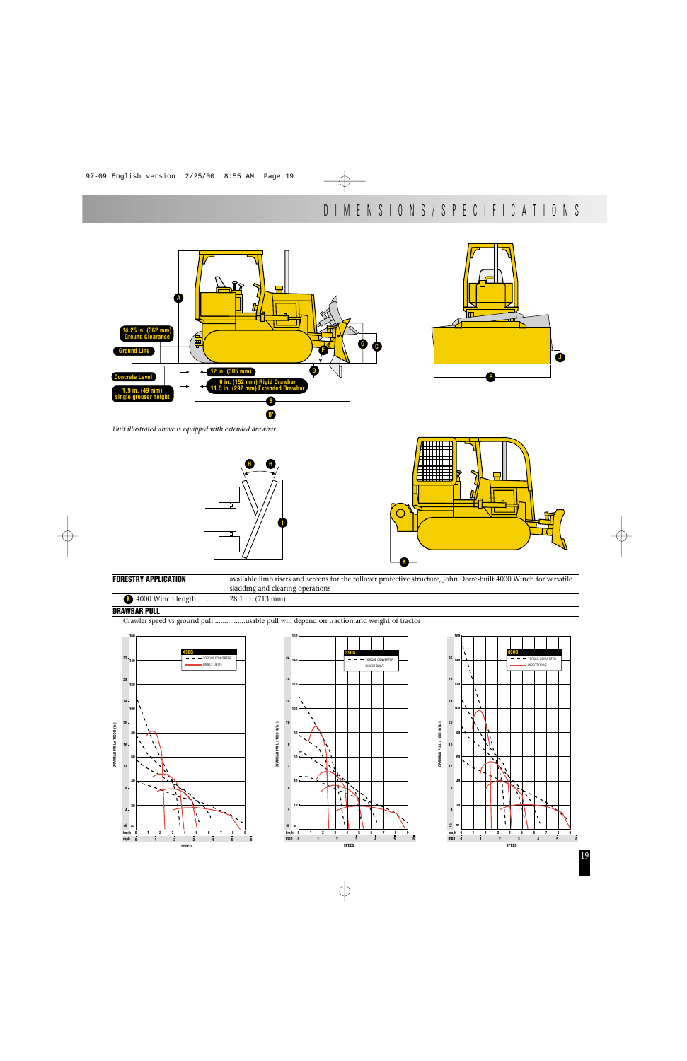



*Unit illustrated above is equipped with extended drawbar.*





**FORESTRY APPLICATION** available limb risers and screens for the rollover protective structure, John Deere-built 4000 Winch for versatile skidding and clearing operations

**DRAWBAR PULL x 1000 N (lb.)**

**K** 4000 Winch length .................28.1 in. (713 mm)

## **DRAWBAR PULL**

Crawler speed vs ground pull ................usable pull will depend on traction and weight of tractor